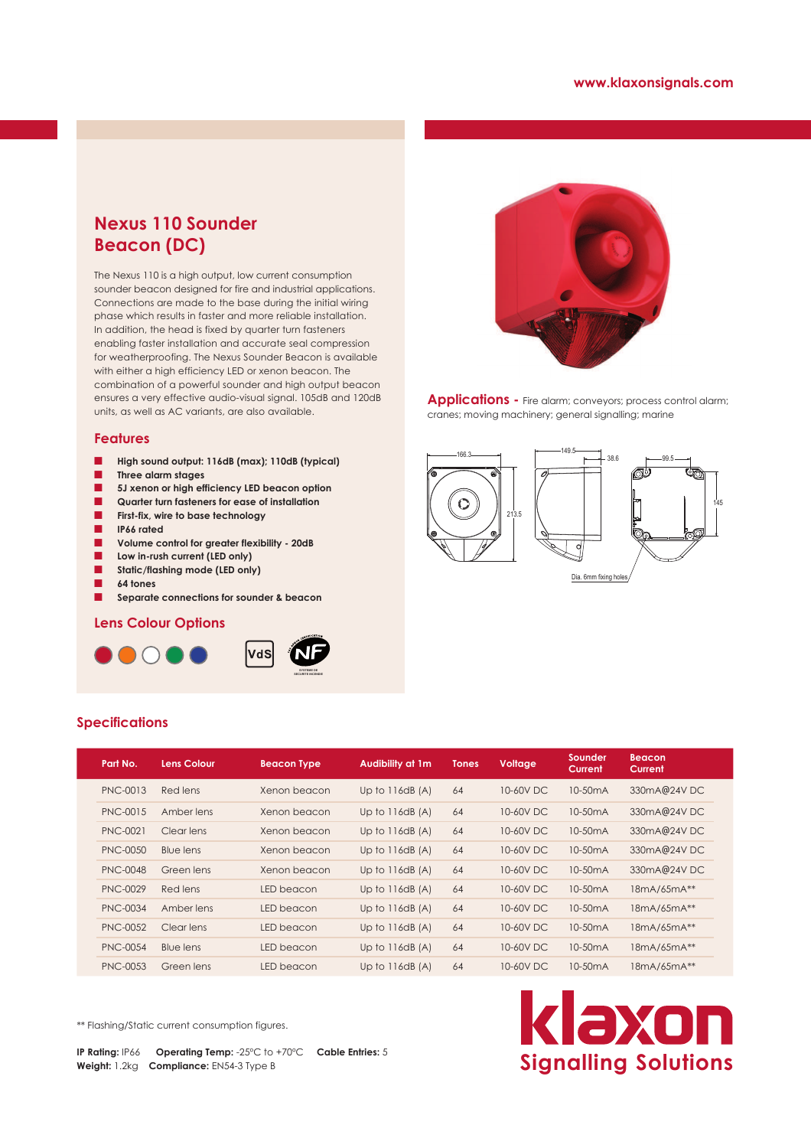# **Nexus 110 Sounder Beacon (DC)**

The Nexus 110 is a high output, low current consumption sounder beacon designed for fire and industrial applications. Connections are made to the base during the initial wiring phase which results in faster and more reliable installation. In addition, the head is fixed by quarter turn fasteners enabling faster installation and accurate seal compression for weatherproofing. The Nexus Sounder Beacon is available with either a high efficiency LED or xenon beacon. The combination of a powerful sounder and high output beacon ensures a very effective audio-visual signal. 105dB and 120dB units, as well as AC variants, are also available.

### **Features**

- **High sound output: 116dB (max); 110dB (typical)**
- Q **Three alarm stages**
- $\blacksquare$  5J xenon or high efficiency LED beacon option
- Q **Quarter turn fasteners for ease of installation**
- **First-fix, wire to base technology**
- Q **IP66 rated**
- Q **Volume control for greater flexibility 20dB**
- **Low in-rush current (LED only)**
- Static/flashing mode (LED only)
- Q **64 tones**

**Specifications**

Separate connections for sounder & beacon

## **Lens Colour Options**







Applications - Fire alarm; conveyors; process control alarm; cranes; moving machinery; general signalling; marine



|  | Part No.        | <b>Lens Colour</b> | <b>Beacon Type</b> | <b>Audibility at 1m</b> | <b>Tones</b> | Voltage   | Sounder<br>Current   | <b>Beacon</b><br>Current |
|--|-----------------|--------------------|--------------------|-------------------------|--------------|-----------|----------------------|--------------------------|
|  | <b>PNC-0013</b> | Red lens           | Xenon beacon       | Up to $116dB(A)$        | 64           | 10-60V DC | 10-50 <sub>m</sub> A | 330mA@24VDC              |
|  | PNC-0015        | Amber lens         | Xenon beacon       | Up to $116dB(A)$        | 64           | 10-60V DC | 10-50 <sub>m</sub> A | 330mA@24VDC              |
|  | PNC-0021        | Clear lens         | Xenon beacon       | Up to $116dB(A)$        | 64           | 10-60V DC | 10-50 <sub>m</sub> A | 330mA@24VDC              |
|  | <b>PNC-0050</b> | Blue lens          | Xenon beacon       | Up to $116dB(A)$        | 64           | 10-60V DC | 10-50 <sub>m</sub> A | 330mA@24VDC              |
|  | <b>PNC-0048</b> | Green lens         | Xenon beacon       | Up to $116dB(A)$        | 64           | 10-60V DC | 10-50 <sub>m</sub> A | 330mA@24VDC              |
|  | <b>PNC-0029</b> | Red lens           | LED beacon         | Up to $116dB(A)$        | 64           | 10-60V DC | 10-50 <sub>m</sub> A | 18mA/65mA**              |
|  | <b>PNC-0034</b> | Amber lens         | LED beacon         | Up to $116dB(A)$        | 64           | 10-60V DC | 10-50 <sub>m</sub> A | 18mA/65mA**              |
|  | <b>PNC-0052</b> | Clear lens         | LED beacon         | Up to $116dB(A)$        | 64           | 10-60V DC | 10-50 <sub>m</sub> A | 18mA/65mA**              |
|  | <b>PNC-0054</b> | Blue lens          | LED beacon         | Up to $116dB(A)$        | 64           | 10-60V DC | 10-50 <sub>m</sub> A | 18mA/65mA**              |
|  | <b>PNC-0053</b> | Green lens         | LED beacon         | Up to $116dB(A)$        | 64           | 10-60V DC | 10-50 <sub>m</sub> A | 18mA/65mA**              |

\*\* Flashing/Static current consumption figures.

**IP Rating:** IP66 **Operating Temp:** -25ºC to +70ºC **Cable Entries:** 5 **Weight:** 1.2kg **Compliance:** EN54-3 Type B

# klaxon **Signalling Solutions**